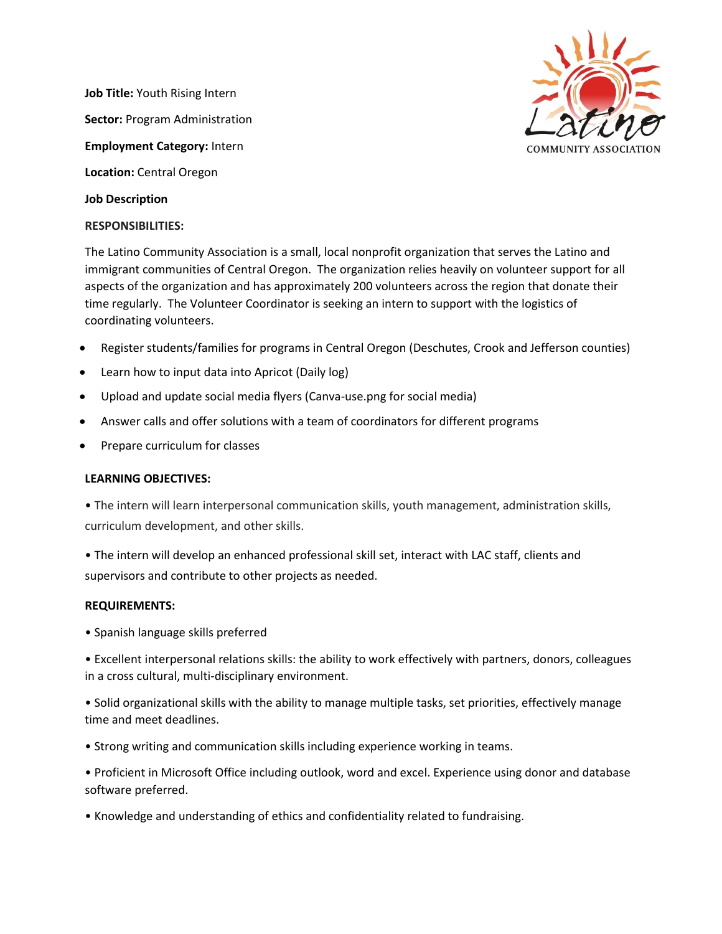**Job Title:** Youth Rising Intern **Sector:** Program Administration **Employment Category:** Intern **Location:** Central Oregon



## **Job Description**

### **RESPONSIBILITIES:**

The Latino Community Association is a small, local nonprofit organization that serves the Latino and immigrant communities of Central Oregon. The organization relies heavily on volunteer support for all aspects of the organization and has approximately 200 volunteers across the region that donate their time regularly. The Volunteer Coordinator is seeking an intern to support with the logistics of coordinating volunteers.

- Register students/families for programs in Central Oregon (Deschutes, Crook and Jefferson counties)
- Learn how to input data into Apricot (Daily log)
- Upload and update social media flyers (Canva-use.png for social media)
- Answer calls and offer solutions with a team of coordinators for different programs
- Prepare curriculum for classes

### **LEARNING OBJECTIVES:**

• The intern will learn interpersonal communication skills, youth management, administration skills, curriculum development, and other skills.

• The intern will develop an enhanced professional skill set, interact with LAC staff, clients and supervisors and contribute to other projects as needed.

### **REQUIREMENTS:**

• Spanish language skills preferred

• Excellent interpersonal relations skills: the ability to work effectively with partners, donors, colleagues in a cross cultural, multi-disciplinary environment.

• Solid organizational skills with the ability to manage multiple tasks, set priorities, effectively manage time and meet deadlines.

- Strong writing and communication skills including experience working in teams.
- Proficient in Microsoft Office including outlook, word and excel. Experience using donor and database software preferred.
- Knowledge and understanding of ethics and confidentiality related to fundraising.